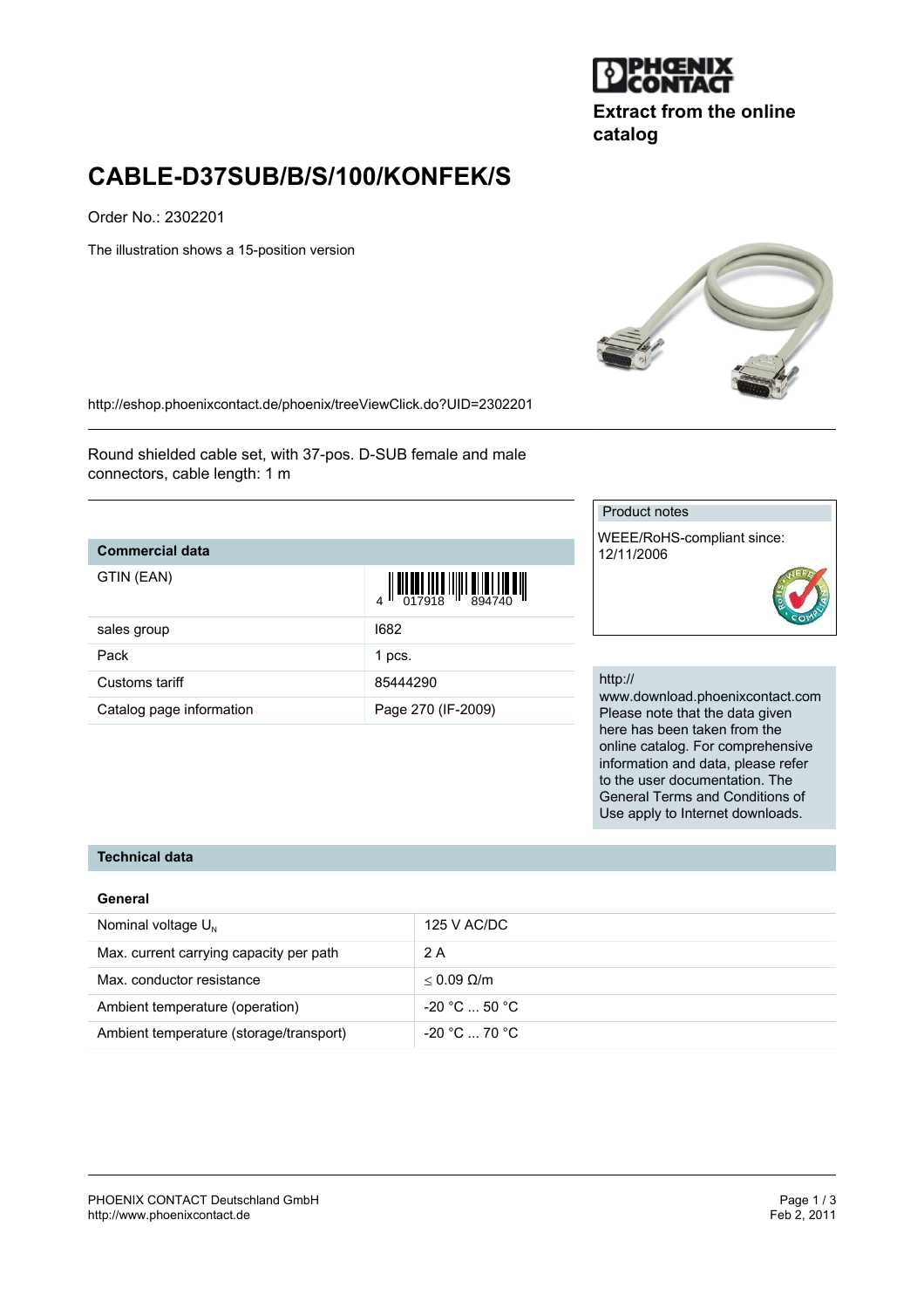

**Extract from the online catalog**

# **CABLE-D37SUB/B/S/100/KONFEK/S**

Order No.: 2302201

The illustration shows a 15-position version



<http://eshop.phoenixcontact.de/phoenix/treeViewClick.do?UID=2302201>

Round shielded cable set, with 37-pos. D-SUB female and male connectors, cable length: 1 m

## **Commercial data**

 $G$   $\overline{G}$ 

| GTIN (EAN)               | $\begin{array}{c} 1 & 0 & 0 & 0 \\ 0 & 0 & 0 & 0 \\ 0 & 0 & 1 & 0 \\ 0 & 0 & 0 & 0 \\ 0 & 0 & 0 & 0 \\ 0 & 0 & 0 & 0 \\ 0 & 0 & 0 & 0 \\ 0 & 0 & 0 & 0 \\ 0 & 0 & 0 & 0 \\ 0 & 0 & 0 & 0 \\ 0 & 0 & 0 & 0 & 0 \\ 0 & 0 & 0 & 0 & 0 \\ 0 & 0 & 0 & 0 & 0 \\ 0 & 0 & 0 & 0 & 0 & 0 \\ 0 & 0 & 0 & 0 & 0 & 0 \\ 0 & 0 & 0 & 0 &$ |
|--------------------------|-------------------------------------------------------------------------------------------------------------------------------------------------------------------------------------------------------------------------------------------------------------------------------------------------------------------------------|
| sales group              | 1682                                                                                                                                                                                                                                                                                                                          |
| Pack                     | 1 pcs.                                                                                                                                                                                                                                                                                                                        |
| Customs tariff           | 85444290                                                                                                                                                                                                                                                                                                                      |
| Catalog page information | Page 270 (IF-2009)                                                                                                                                                                                                                                                                                                            |

## Product notes

WEEE/RoHS-compliant since: 12/11/2006

#### http://

www.download.phoenixcontact.com Please note that the data given here has been taken from the online catalog. For comprehensive information and data, please refer to the user documentation. The General Terms and Conditions of Use apply to Internet downloads.

#### **Technical data**

#### **General**

| Nominal voltage $U_{N}$                 | 125 V AC/DC          |
|-----------------------------------------|----------------------|
| Max. current carrying capacity per path | 2 A                  |
| Max. conductor resistance               | $< 0.09$ Q/m         |
| Ambient temperature (operation)         | $-20 °C  50 °C$      |
| Ambient temperature (storage/transport) | $-20\degree$ C 70 °C |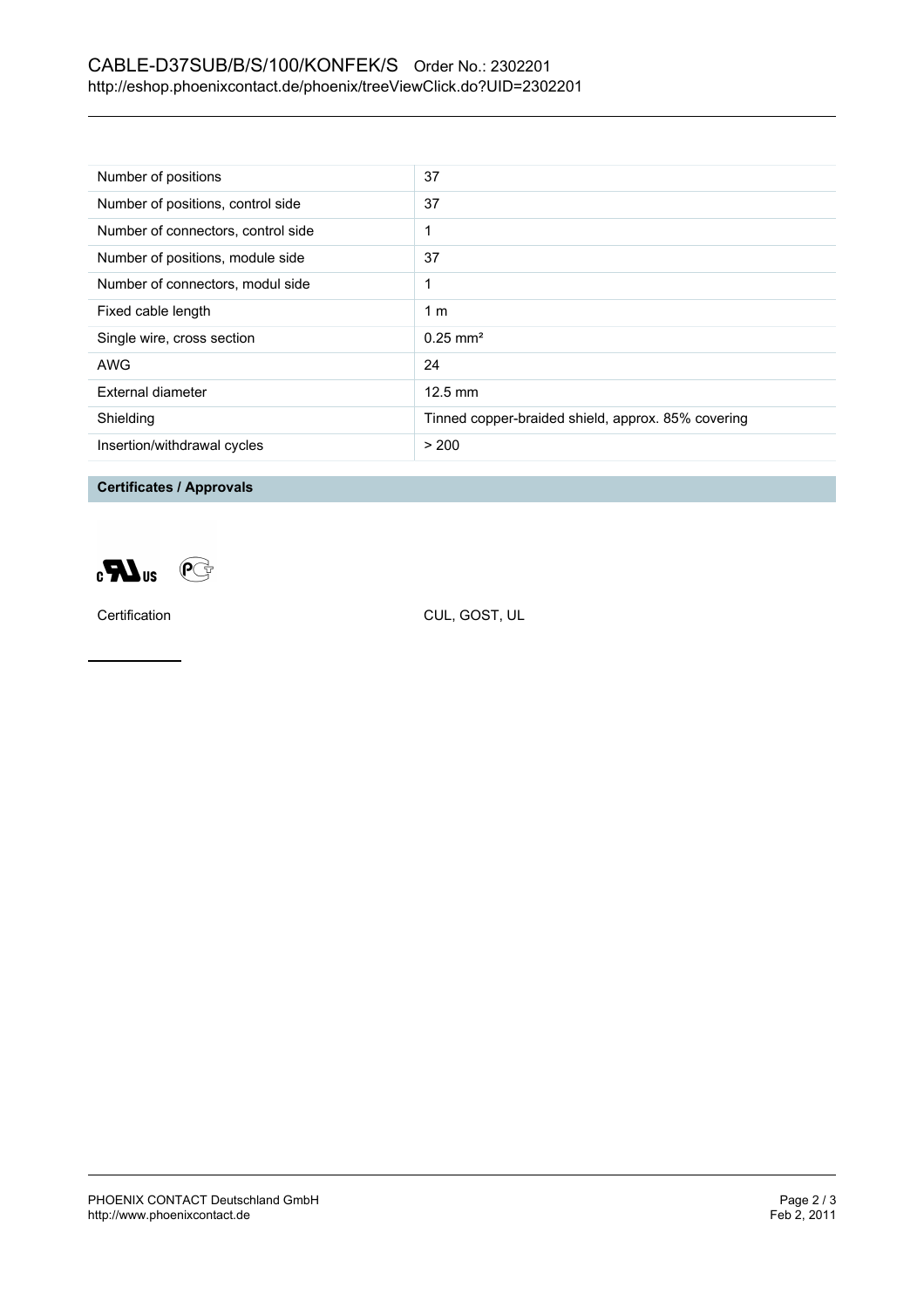# CABLE-D37SUB/B/S/100/KONFEK/S Order No.: 2302201 <http://eshop.phoenixcontact.de/phoenix/treeViewClick.do?UID=2302201>

| Number of positions                | 37                                                 |
|------------------------------------|----------------------------------------------------|
| Number of positions, control side  | 37                                                 |
| Number of connectors, control side |                                                    |
| Number of positions, module side   | 37                                                 |
| Number of connectors, modul side   | 1                                                  |
| Fixed cable length                 | 1 <sub>m</sub>                                     |
| Single wire, cross section         | $0.25 \text{ mm}^2$                                |
| AWG                                | 24                                                 |
| External diameter                  | $12.5 \text{ mm}$                                  |
| Shielding                          | Tinned copper-braided shield, approx. 85% covering |
| Insertion/withdrawal cycles        | > 200                                              |

**Certificates / Approvals**



Certification CUL, GOST, UL